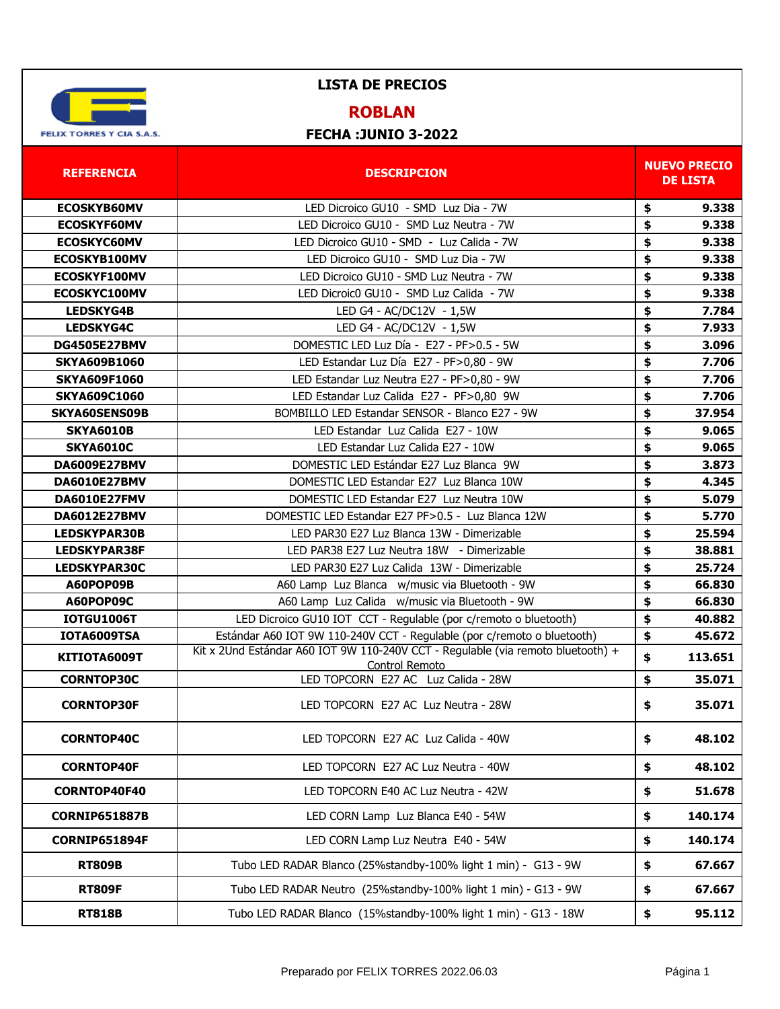

## **ROBLAN**

| <b>REFERENCIA</b>           | <b>DESCRIPCION</b>                                                                                                                                                            |          | <b>NUEVO PRECIO</b><br><b>DE LISTA</b> |
|-----------------------------|-------------------------------------------------------------------------------------------------------------------------------------------------------------------------------|----------|----------------------------------------|
| <b>ECOSKYB60MV</b>          | LED Dicroico GU10 - SMD Luz Dia - 7W                                                                                                                                          | \$       | 9.338                                  |
| <b>ECOSKYF60MV</b>          | LED Dicroico GU10 - SMD Luz Neutra - 7W                                                                                                                                       | \$       | 9.338                                  |
| <b>ECOSKYC60MV</b>          | LED Dicroico GU10 - SMD - Luz Calida - 7W                                                                                                                                     | \$       | 9.338                                  |
| ECOSKYB100MV                | LED Dicroico GU10 - SMD Luz Dia - 7W                                                                                                                                          | \$       | 9.338                                  |
| ECOSKYF100MV                | LED Dicroico GU10 - SMD Luz Neutra - 7W                                                                                                                                       | \$       | 9.338                                  |
| ECOSKYC100MV                | LED Dicroic0 GU10 - SMD Luz Calida - 7W                                                                                                                                       | \$       | 9.338                                  |
| <b>LEDSKYG4B</b>            | LED G4 - AC/DC12V - 1,5W                                                                                                                                                      | \$       | 7.784                                  |
| <b>LEDSKYG4C</b>            | LED G4 - AC/DC12V - 1,5W                                                                                                                                                      | \$       | 7.933                                  |
| <b>DG4505E27BMV</b>         | DOMESTIC LED Luz Día - E27 - PF>0.5 - 5W                                                                                                                                      | \$       | 3.096                                  |
| <b>SKYA609B1060</b>         | LED Estandar Luz Día E27 - PF>0,80 - 9W                                                                                                                                       | \$       | 7.706                                  |
| <b>SKYA609F1060</b>         | LED Estandar Luz Neutra E27 - PF>0,80 - 9W                                                                                                                                    | \$       | 7.706                                  |
| <b>SKYA609C1060</b>         | LED Estandar Luz Calida E27 - PF>0,80 9W                                                                                                                                      | \$       | 7.706                                  |
| <b>SKYA60SENS09B</b>        | BOMBILLO LED Estandar SENSOR - Blanco E27 - 9W                                                                                                                                | \$       | 37.954                                 |
| <b>SKYA6010B</b>            | LED Estandar Luz Calida E27 - 10W                                                                                                                                             | \$       | 9.065                                  |
| <b>SKYA6010C</b>            | LED Estandar Luz Calida E27 - 10W                                                                                                                                             | \$       | 9.065                                  |
| <b>DA6009E27BMV</b>         | DOMESTIC LED Estándar E27 Luz Blanca 9W                                                                                                                                       | \$       | 3.873                                  |
| <b>DA6010E27BMV</b>         | DOMESTIC LED Estandar E27 Luz Blanca 10W                                                                                                                                      | \$       | 4.345                                  |
| <b>DA6010E27FMV</b>         | DOMESTIC LED Estandar E27 Luz Neutra 10W                                                                                                                                      | \$       | 5.079                                  |
| <b>DA6012E27BMV</b>         | DOMESTIC LED Estandar E27 PF>0.5 - Luz Blanca 12W                                                                                                                             | \$       | 5.770                                  |
| <b>LEDSKYPAR30B</b>         | LED PAR30 E27 Luz Blanca 13W - Dimerizable                                                                                                                                    | \$       | 25.594                                 |
| <b>LEDSKYPAR38F</b>         | LED PAR38 E27 Luz Neutra 18W - Dimerizable                                                                                                                                    | \$       | 38.881                                 |
| LEDSKYPAR30C                | LED PAR30 E27 Luz Calida 13W - Dimerizable                                                                                                                                    | \$       | 25.724                                 |
| A60POP09B                   | A60 Lamp Luz Blanca w/music via Bluetooth - 9W                                                                                                                                | \$       | 66.830                                 |
| A60POP09C                   | A60 Lamp Luz Calida w/music via Bluetooth - 9W                                                                                                                                | \$       | 66.830                                 |
| <b>IOTGU1006T</b>           | LED Dicroico GU10 IOT CCT - Regulable (por c/remoto o bluetooth)                                                                                                              | \$<br>\$ | 40.882                                 |
| IOTA6009TSA<br>KITIOTA6009T | Estándar A60 IOT 9W 110-240V CCT - Regulable (por c/remoto o bluetooth)<br>Kit x 2Und Estándar A60 IOT 9W 110-240V CCT - Regulable (via remoto bluetooth) +<br>Control Remoto | \$       | 45.672<br>113.651                      |
| <b>CORNTOP30C</b>           | LED TOPCORN E27 AC Luz Calida - 28W                                                                                                                                           | \$       | 35.071                                 |
| <b>CORNTOP30F</b>           | LED TOPCORN E27 AC Luz Neutra - 28W                                                                                                                                           | \$       | 35.071                                 |
| <b>CORNTOP40C</b>           | LED TOPCORN E27 AC Luz Calida - 40W                                                                                                                                           | \$       | 48.102                                 |
| <b>CORNTOP40F</b>           | LED TOPCORN E27 AC Luz Neutra - 40W                                                                                                                                           | \$       | 48.102                                 |
| CORNTOP40F40                | LED TOPCORN E40 AC Luz Neutra - 42W                                                                                                                                           | \$       | 51.678                                 |
| <b>CORNIP651887B</b>        | LED CORN Lamp Luz Blanca E40 - 54W                                                                                                                                            | \$       | 140.174                                |
| <b>CORNIP651894F</b>        | LED CORN Lamp Luz Neutra E40 - 54W                                                                                                                                            | \$       | 140.174                                |
| <b>RT809B</b>               | Tubo LED RADAR Blanco (25%standby-100% light 1 min) - G13 - 9W                                                                                                                | \$       | 67.667                                 |
| <b>RT809F</b>               | Tubo LED RADAR Neutro (25%standby-100% light 1 min) - G13 - 9W                                                                                                                | \$       | 67.667                                 |
| <b>RT818B</b>               | Tubo LED RADAR Blanco (15%standby-100% light 1 min) - G13 - 18W                                                                                                               | \$       | 95.112                                 |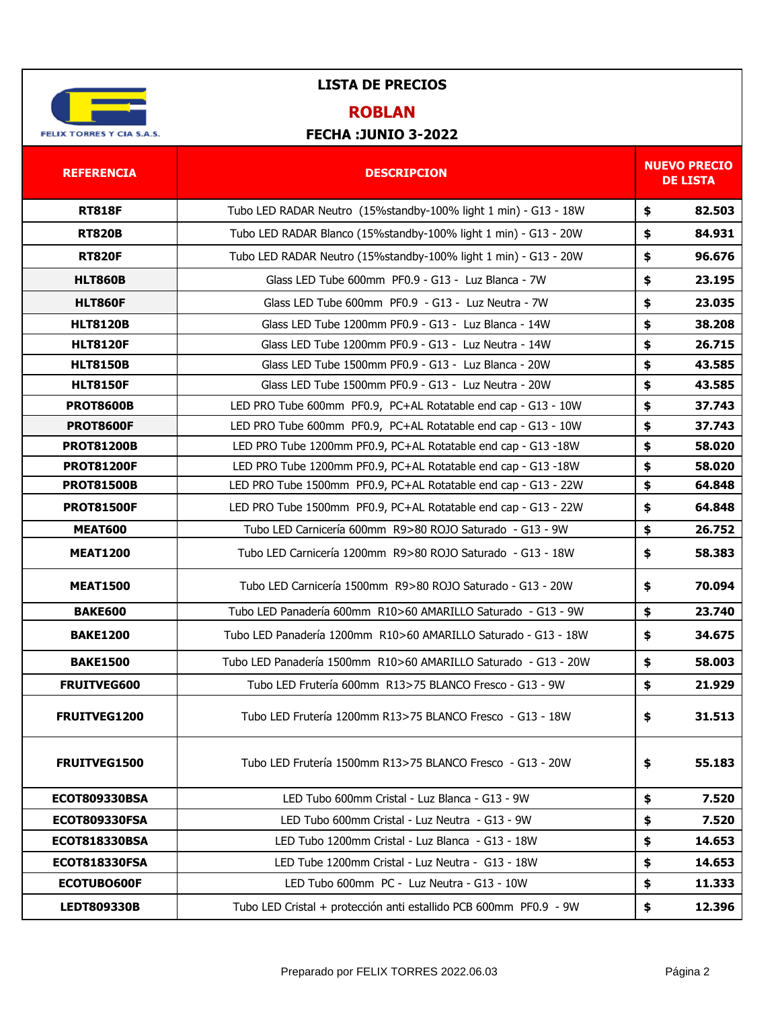

## **ROBLAN**

| <b>REFERENCIA</b>    | <b>DESCRIPCION</b>                                                |    | <b>NUEVO PRECIO</b><br><b>DE LISTA</b> |  |
|----------------------|-------------------------------------------------------------------|----|----------------------------------------|--|
| <b>RT818F</b>        | Tubo LED RADAR Neutro (15% standby-100% light 1 min) - G13 - 18W  | \$ | 82.503                                 |  |
| <b>RT820B</b>        | Tubo LED RADAR Blanco (15%standby-100% light 1 min) - G13 - 20W   | \$ | 84.931                                 |  |
| <b>RT820F</b>        | Tubo LED RADAR Neutro (15%standby-100% light 1 min) - G13 - 20W   | \$ | 96.676                                 |  |
| <b>HLT860B</b>       | Glass LED Tube 600mm PF0.9 - G13 - Luz Blanca - 7W                | \$ | 23.195                                 |  |
| <b>HLT860F</b>       | Glass LED Tube 600mm PF0.9 - G13 - Luz Neutra - 7W                | \$ | 23.035                                 |  |
| <b>HLT8120B</b>      | Glass LED Tube 1200mm PF0.9 - G13 - Luz Blanca - 14W              | \$ | 38.208                                 |  |
| <b>HLT8120F</b>      | Glass LED Tube 1200mm PF0.9 - G13 - Luz Neutra - 14W              | \$ | 26.715                                 |  |
| <b>HLT8150B</b>      | Glass LED Tube 1500mm PF0.9 - G13 - Luz Blanca - 20W              | \$ | 43.585                                 |  |
| <b>HLT8150F</b>      | Glass LED Tube 1500mm PF0.9 - G13 - Luz Neutra - 20W              | \$ | 43.585                                 |  |
| <b>PROT8600B</b>     | LED PRO Tube 600mm PF0.9, PC+AL Rotatable end cap - G13 - 10W     | \$ | 37.743                                 |  |
| <b>PROT8600F</b>     | LED PRO Tube 600mm PF0.9, PC+AL Rotatable end cap - G13 - 10W     | \$ | 37.743                                 |  |
| <b>PROT81200B</b>    | LED PRO Tube 1200mm PF0.9, PC+AL Rotatable end cap - G13 -18W     | \$ | 58.020                                 |  |
| <b>PROT81200F</b>    | LED PRO Tube 1200mm PF0.9, PC+AL Rotatable end cap - G13 -18W     | \$ | 58.020                                 |  |
| <b>PROT81500B</b>    | LED PRO Tube 1500mm PF0.9, PC+AL Rotatable end cap - G13 - 22W    | \$ | 64.848                                 |  |
| <b>PROT81500F</b>    | LED PRO Tube 1500mm PF0.9, PC+AL Rotatable end cap - G13 - 22W    | \$ | 64.848                                 |  |
| <b>MEAT600</b>       | Tubo LED Carnicería 600mm R9>80 ROJO Saturado - G13 - 9W          | \$ | 26.752                                 |  |
| <b>MEAT1200</b>      | Tubo LED Carnicería 1200mm R9>80 ROJO Saturado - G13 - 18W        | \$ | 58.383                                 |  |
| <b>MEAT1500</b>      | Tubo LED Carnicería 1500mm R9>80 ROJO Saturado - G13 - 20W        | \$ | 70.094                                 |  |
| <b>BAKE600</b>       | Tubo LED Panadería 600mm R10>60 AMARILLO Saturado - G13 - 9W      | \$ | 23.740                                 |  |
| <b>BAKE1200</b>      | Tubo LED Panadería 1200mm R10>60 AMARILLO Saturado - G13 - 18W    | \$ | 34.675                                 |  |
| <b>BAKE1500</b>      | Tubo LED Panadería 1500mm R10>60 AMARILLO Saturado - G13 - 20W    | \$ | 58.003                                 |  |
| FRUITVEG600          | Tubo LED Frutería 600mm R13>75 BLANCO Fresco - G13 - 9W           | \$ | 21.929                                 |  |
| FRUITVEG1200         | Tubo LED Frutería 1200mm R13>75 BLANCO Fresco - G13 - 18W         | Ş. | 31.513                                 |  |
| FRUITVEG1500         | Tubo LED Frutería 1500mm R13>75 BLANCO Fresco - G13 - 20W         | \$ | 55.183                                 |  |
| <b>ECOT809330BSA</b> | LED Tubo 600mm Cristal - Luz Blanca - G13 - 9W                    | \$ | 7.520                                  |  |
| <b>ECOT809330FSA</b> | LED Tubo 600mm Cristal - Luz Neutra - G13 - 9W                    | \$ | 7.520                                  |  |
| <b>ECOT818330BSA</b> | LED Tubo 1200mm Cristal - Luz Blanca - G13 - 18W                  | \$ | 14.653                                 |  |
| <b>ECOT818330FSA</b> | LED Tube 1200mm Cristal - Luz Neutra - G13 - 18W                  | \$ | 14.653                                 |  |
| ECOTUBO600F          | LED Tubo 600mm PC - Luz Neutra - G13 - 10W                        | \$ | 11.333                                 |  |
| <b>LEDT809330B</b>   | Tubo LED Cristal + protección anti estallido PCB 600mm PF0.9 - 9W | \$ | 12.396                                 |  |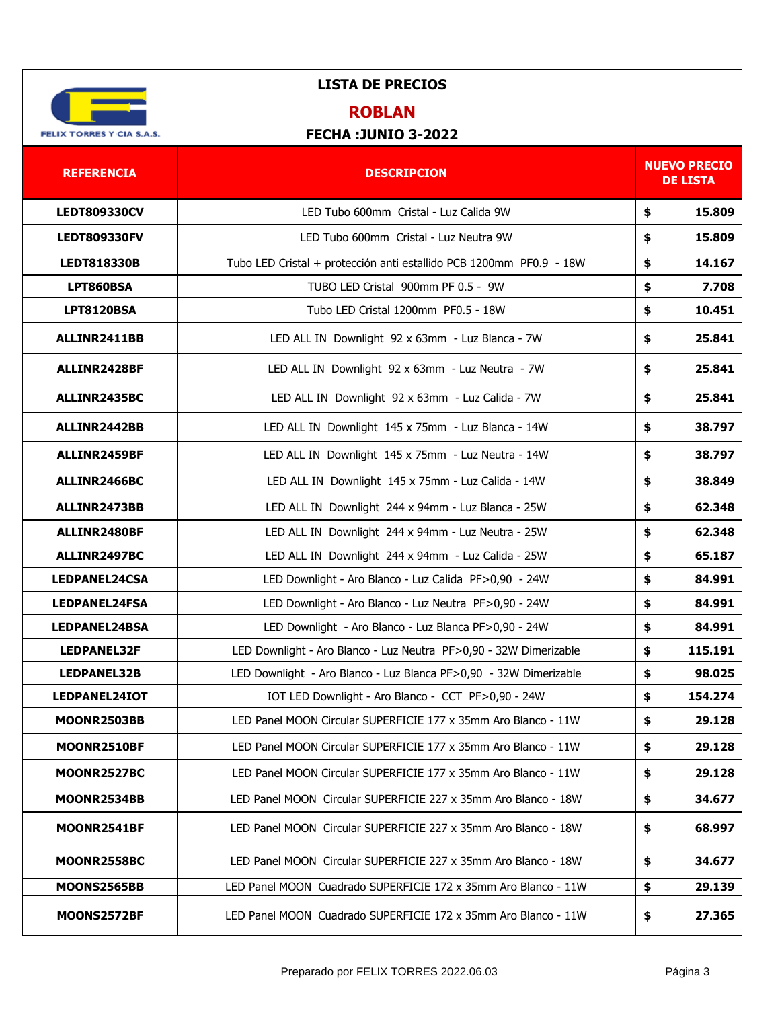

## **ROBLAN**

| <b>REFERENCIA</b>    | <b>DESCRIPCION</b>                                                  |    | <b>NUEVO PRECIO</b><br><b>DE LISTA</b> |  |
|----------------------|---------------------------------------------------------------------|----|----------------------------------------|--|
| <b>LEDT809330CV</b>  | LED Tubo 600mm Cristal - Luz Calida 9W                              | \$ | 15.809                                 |  |
| <b>LEDT809330FV</b>  | LED Tubo 600mm Cristal - Luz Neutra 9W                              | \$ | 15.809                                 |  |
| <b>LEDT818330B</b>   | Tubo LED Cristal + protección anti estallido PCB 1200mm PF0.9 - 18W | \$ | 14.167                                 |  |
| LPT860BSA            | TUBO LED Cristal 900mm PF 0.5 - 9W                                  | \$ | 7.708                                  |  |
| <b>LPT8120BSA</b>    | Tubo LED Cristal 1200mm PF0.5 - 18W                                 | \$ | 10.451                                 |  |
| ALLINR2411BB         | LED ALL IN Downlight 92 x 63mm - Luz Blanca - 7W                    | \$ | 25.841                                 |  |
| ALLINR2428BF         | LED ALL IN Downlight 92 x 63mm - Luz Neutra - 7W                    | \$ | 25.841                                 |  |
| ALLINR2435BC         | LED ALL IN Downlight 92 x 63mm - Luz Calida - 7W                    | \$ | 25.841                                 |  |
| ALLINR2442BB         | LED ALL IN Downlight 145 x 75mm - Luz Blanca - 14W                  | \$ | 38.797                                 |  |
| ALLINR2459BF         | LED ALL IN Downlight 145 x 75mm - Luz Neutra - 14W                  | \$ | 38.797                                 |  |
| ALLINR2466BC         | LED ALL IN Downlight 145 x 75mm - Luz Calida - 14W                  | \$ | 38.849                                 |  |
| ALLINR2473BB         | LED ALL IN Downlight 244 x 94mm - Luz Blanca - 25W                  | \$ | 62.348                                 |  |
| ALLINR2480BF         | LED ALL IN Downlight 244 x 94mm - Luz Neutra - 25W                  | \$ | 62.348                                 |  |
| ALLINR2497BC         | LED ALL IN Downlight 244 x 94mm - Luz Calida - 25W                  | \$ | 65.187                                 |  |
| <b>LEDPANEL24CSA</b> | LED Downlight - Aro Blanco - Luz Calida PF>0,90 - 24W               | \$ | 84.991                                 |  |
| LEDPANEL24FSA        | LED Downlight - Aro Blanco - Luz Neutra PF>0,90 - 24W               | \$ | 84.991                                 |  |
| <b>LEDPANEL24BSA</b> | LED Downlight - Aro Blanco - Luz Blanca PF>0,90 - 24W               | \$ | 84.991                                 |  |
| LEDPANEL32F          | LED Downlight - Aro Blanco - Luz Neutra PF>0,90 - 32W Dimerizable   | \$ | 115.191                                |  |
| LEDPANEL32B          | LED Downlight - Aro Blanco - Luz Blanca PF>0,90 - 32W Dimerizable   | \$ | 98.025                                 |  |
| LEDPANEL24IOT        | IOT LED Downlight - Aro Blanco - CCT PF>0,90 - 24W                  | \$ | 154.274                                |  |
| <b>MOONR2503BB</b>   | LED Panel MOON Circular SUPERFICIE 177 x 35mm Aro Blanco - 11W      | Ş  | 29.128                                 |  |
| MOONR2510BF          | LED Panel MOON Circular SUPERFICIE 177 x 35mm Aro Blanco - 11W      | \$ | 29.128                                 |  |
| <b>MOONR2527BC</b>   | LED Panel MOON Circular SUPERFICIE 177 x 35mm Aro Blanco - 11W      | \$ | 29.128                                 |  |
| MOONR2534BB          | LED Panel MOON Circular SUPERFICIE 227 x 35mm Aro Blanco - 18W      | \$ | 34.677                                 |  |
| MOONR2541BF          | LED Panel MOON Circular SUPERFICIE 227 x 35mm Aro Blanco - 18W      | \$ | 68.997                                 |  |
| MOONR2558BC          | LED Panel MOON Circular SUPERFICIE 227 x 35mm Aro Blanco - 18W      | \$ | 34.677                                 |  |
| MOONS2565BB          | LED Panel MOON Cuadrado SUPERFICIE 172 x 35mm Aro Blanco - 11W      | \$ | 29.139                                 |  |
| MOONS2572BF          | LED Panel MOON Cuadrado SUPERFICIE 172 x 35mm Aro Blanco - 11W      | \$ | 27.365                                 |  |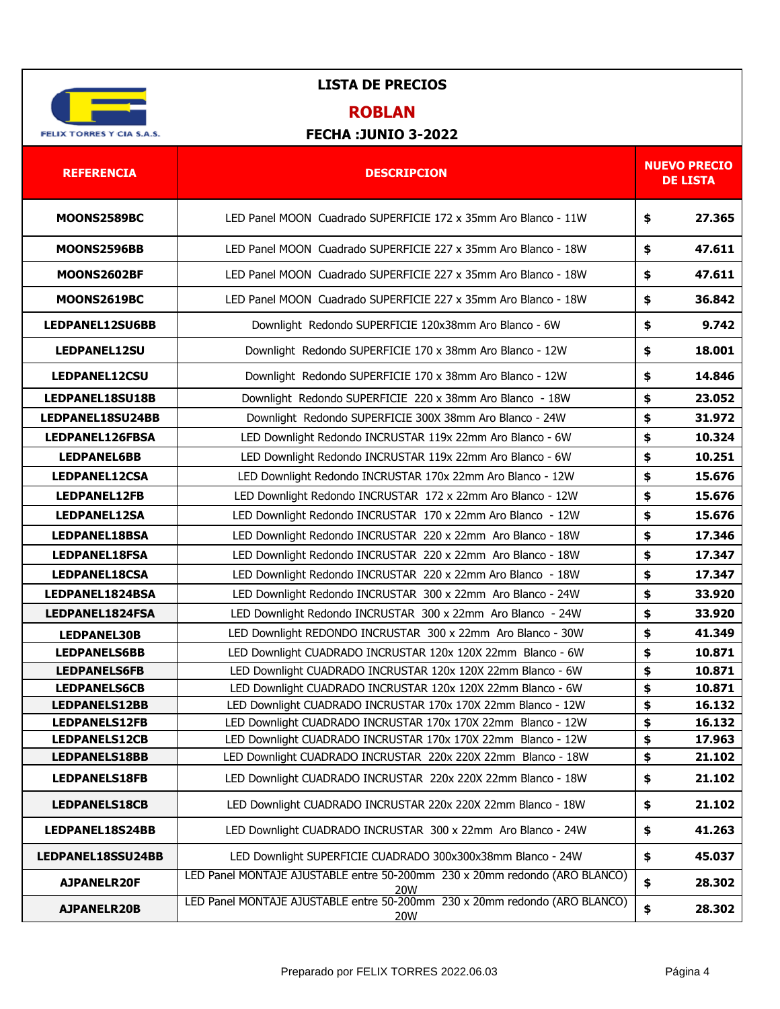

#### **ROBLAN**

| <b>REFERENCIA</b>    | <b>DESCRIPCION</b>                                                                       | <b>NUEVO PRECIO</b><br><b>DE LISTA</b> |  |
|----------------------|------------------------------------------------------------------------------------------|----------------------------------------|--|
| MOONS2589BC          | LED Panel MOON Cuadrado SUPERFICIE 172 x 35mm Aro Blanco - 11W                           | \$<br>27.365                           |  |
| MOONS2596BB          | LED Panel MOON Cuadrado SUPERFICIE 227 x 35mm Aro Blanco - 18W                           | 47.611<br>\$                           |  |
| <b>MOONS2602BF</b>   | LED Panel MOON Cuadrado SUPERFICIE 227 x 35mm Aro Blanco - 18W                           | \$<br>47.611                           |  |
| MOONS2619BC          | LED Panel MOON Cuadrado SUPERFICIE 227 x 35mm Aro Blanco - 18W                           | \$<br>36.842                           |  |
| LEDPANEL12SU6BB      | Downlight Redondo SUPERFICIE 120x38mm Aro Blanco - 6W                                    | \$<br>9.742                            |  |
| LEDPANEL12SU         | Downlight Redondo SUPERFICIE 170 x 38mm Aro Blanco - 12W                                 | \$<br>18.001                           |  |
| LEDPANEL12CSU        | Downlight Redondo SUPERFICIE 170 x 38mm Aro Blanco - 12W                                 | \$<br>14.846                           |  |
| LEDPANEL18SU18B      | Downlight Redondo SUPERFICIE 220 x 38mm Aro Blanco - 18W                                 | \$<br>23.052                           |  |
| LEDPANEL18SU24BB     | Downlight Redondo SUPERFICIE 300X 38mm Aro Blanco - 24W                                  | \$<br>31.972                           |  |
| LEDPANEL126FBSA      | LED Downlight Redondo INCRUSTAR 119x 22mm Aro Blanco - 6W                                | \$<br>10.324                           |  |
| <b>LEDPANEL6BB</b>   | LED Downlight Redondo INCRUSTAR 119x 22mm Aro Blanco - 6W                                | \$<br>10.251                           |  |
| <b>LEDPANEL12CSA</b> | LED Downlight Redondo INCRUSTAR 170x 22mm Aro Blanco - 12W                               | \$<br>15.676                           |  |
| <b>LEDPANEL12FB</b>  | LED Downlight Redondo INCRUSTAR 172 x 22mm Aro Blanco - 12W                              | \$<br>15.676                           |  |
| LEDPANEL12SA         | LED Downlight Redondo INCRUSTAR 170 x 22mm Aro Blanco - 12W                              | \$<br>15.676                           |  |
| <b>LEDPANEL18BSA</b> | LED Downlight Redondo INCRUSTAR 220 x 22mm Aro Blanco - 18W                              | \$<br>17.346                           |  |
| <b>LEDPANEL18FSA</b> | LED Downlight Redondo INCRUSTAR 220 x 22mm Aro Blanco - 18W                              | \$<br>17.347                           |  |
| <b>LEDPANEL18CSA</b> | LED Downlight Redondo INCRUSTAR 220 x 22mm Aro Blanco - 18W                              | \$<br>17.347                           |  |
| LEDPANEL1824BSA      | LED Downlight Redondo INCRUSTAR 300 x 22mm Aro Blanco - 24W                              | 33.920<br>\$                           |  |
| LEDPANEL1824FSA      | LED Downlight Redondo INCRUSTAR 300 x 22mm Aro Blanco - 24W                              | \$<br>33.920                           |  |
| <b>LEDPANEL30B</b>   | LED Downlight REDONDO INCRUSTAR 300 x 22mm Aro Blanco - 30W                              | \$<br>41.349                           |  |
| <b>LEDPANELS6BB</b>  | LED Downlight CUADRADO INCRUSTAR 120x 120X 22mm Blanco - 6W                              | \$<br>10.871                           |  |
| <b>LEDPANELS6FB</b>  | LED Downlight CUADRADO INCRUSTAR 120x 120X 22mm Blanco - 6W                              | \$<br>10.871                           |  |
| <b>LEDPANELS6CB</b>  | LED Downlight CUADRADO INCRUSTAR 120x 120X 22mm Blanco - 6W                              | \$<br>10.871                           |  |
| <b>LEDPANELS12BB</b> | LED Downlight CUADRADO INCRUSTAR 170x 170X 22mm Blanco - 12W                             | \$<br>16.132                           |  |
| LEDPANELS12FB        | LED Downlight CUADRADO INCRUSTAR 170x 170X 22mm Blanco - 12W                             | \$<br>16.132                           |  |
| <b>LEDPANELS12CB</b> | LED Downlight CUADRADO INCRUSTAR 170x 170X 22mm Blanco - 12W                             | \$<br>17.963                           |  |
| LEDPANELS18BB        | LED Downlight CUADRADO INCRUSTAR 220x 220X 22mm Blanco - 18W                             | \$<br>21.102                           |  |
| <b>LEDPANELS18FB</b> | LED Downlight CUADRADO INCRUSTAR 220x 220X 22mm Blanco - 18W                             | 21.102<br>\$                           |  |
| <b>LEDPANELS18CB</b> | LED Downlight CUADRADO INCRUSTAR 220x 220X 22mm Blanco - 18W                             | \$<br>21.102                           |  |
| LEDPANEL18S24BB      | LED Downlight CUADRADO INCRUSTAR 300 x 22mm Aro Blanco - 24W                             | 41.263<br>\$                           |  |
| LEDPANEL18SSU24BB    | LED Downlight SUPERFICIE CUADRADO 300x300x38mm Blanco - 24W                              | \$<br>45.037                           |  |
| <b>AJPANELR20F</b>   | LED Panel MONTAJE AJUSTABLE entre 50-200mm 230 x 20mm redondo (ARO BLANCO)<br>20W        | \$<br>28.302                           |  |
| AJPANELR20B          | LED Panel MONTAJE AJUSTABLE entre 50-200mm 230 x 20mm redondo (ARO BLANCO)<br><u>20W</u> | \$<br>28.302                           |  |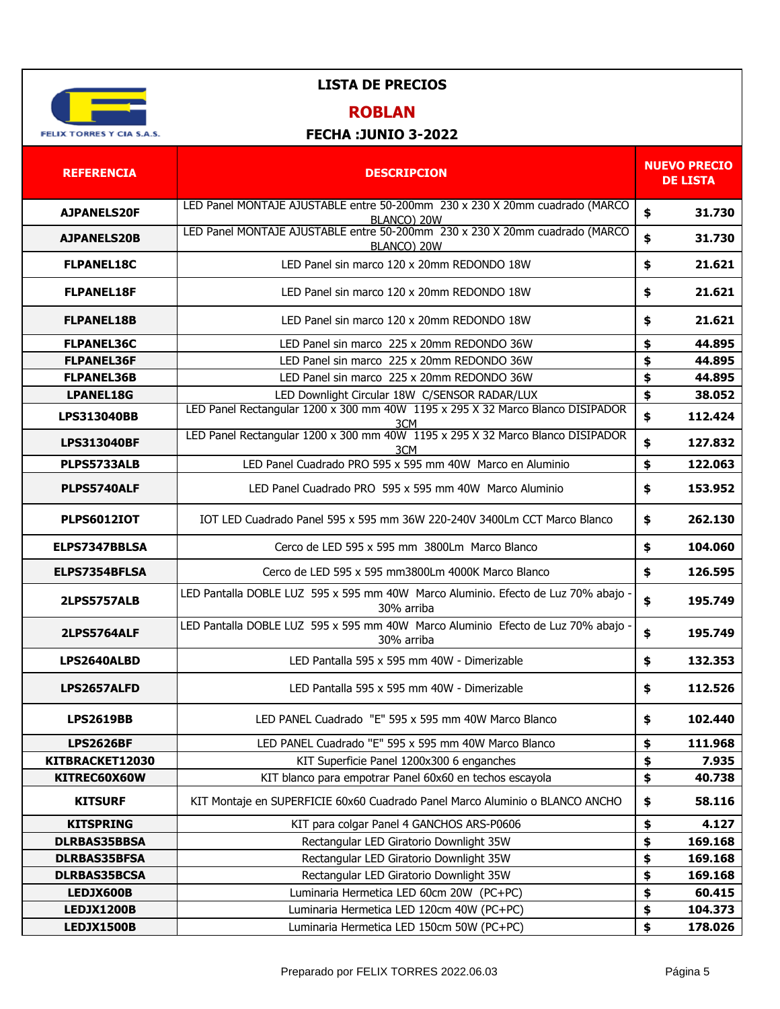

## **ROBLAN**

| <b>REFERENCIA</b>   | <b>DESCRIPCION</b>                                                                              | <b>NUEVO PRECIO</b><br><b>DE LISTA</b> |
|---------------------|-------------------------------------------------------------------------------------------------|----------------------------------------|
| <b>AJPANELS20F</b>  | LED Panel MONTAJE AJUSTABLE entre 50-200mm 230 x 230 X 20mm cuadrado (MARCO<br>BLANCO) 20W      | \$<br>31.730                           |
| <b>AJPANELS20B</b>  | LED Panel MONTAJE AJUSTABLE entre 50-200mm 230 x 230 X 20mm cuadrado (MARCO<br>BLANCO) 20W      | \$<br>31.730                           |
| <b>FLPANEL18C</b>   | LED Panel sin marco 120 x 20mm REDONDO 18W                                                      | \$<br>21.621                           |
| <b>FLPANEL18F</b>   | LED Panel sin marco 120 x 20mm REDONDO 18W                                                      | \$<br>21.621                           |
| <b>FLPANEL18B</b>   | LED Panel sin marco 120 x 20mm REDONDO 18W                                                      | \$<br>21.621                           |
| <b>FLPANEL36C</b>   | LED Panel sin marco 225 x 20mm REDONDO 36W                                                      | \$<br>44.895                           |
| <b>FLPANEL36F</b>   | LED Panel sin marco 225 x 20mm REDONDO 36W                                                      | \$<br>44.895                           |
| <b>FLPANEL36B</b>   | LED Panel sin marco 225 x 20mm REDONDO 36W                                                      | \$<br>44.895                           |
| <b>LPANEL18G</b>    | LED Downlight Circular 18W C/SENSOR RADAR/LUX                                                   | \$<br>38.052                           |
| <b>LPS313040BB</b>  | LED Panel Rectangular 1200 x 300 mm 40W 1195 x 295 X 32 Marco Blanco DISIPADOR                  | \$<br>112.424                          |
| <b>LPS313040BF</b>  | 3CM<br>LED Panel Rectangular 1200 x 300 mm 40W 1195 x 295 X 32 Marco Blanco DISIPADOR<br>3CM    | \$<br>127.832                          |
| <b>PLPS5733ALB</b>  | LED Panel Cuadrado PRO 595 x 595 mm 40W Marco en Aluminio                                       | \$<br>122.063                          |
| PLPS5740ALF         | LED Panel Cuadrado PRO 595 x 595 mm 40W Marco Aluminio                                          | \$<br>153.952                          |
| <b>PLPS6012IOT</b>  | IOT LED Cuadrado Panel 595 x 595 mm 36W 220-240V 3400Lm CCT Marco Blanco                        | \$<br>262.130                          |
| ELPS7347BBLSA       | Cerco de LED 595 x 595 mm 3800Lm Marco Blanco                                                   | \$<br>104.060                          |
| ELPS7354BFLSA       | Cerco de LED 595 x 595 mm3800Lm 4000K Marco Blanco                                              | \$<br>126.595                          |
| <b>2LPS5757ALB</b>  | LED Pantalla DOBLE LUZ 595 x 595 mm 40W Marco Aluminio. Efecto de Luz 70% abajo -<br>30% arriba | \$<br>195.749                          |
| <b>2LPS5764ALF</b>  | LED Pantalla DOBLE LUZ 595 x 595 mm 40W Marco Aluminio Efecto de Luz 70% abajo -<br>30% arriba  | \$<br>195.749                          |
| LPS2640ALBD         | LED Pantalla 595 x 595 mm 40W - Dimerizable                                                     | \$<br>132.353                          |
| LPS2657ALFD         | LED Pantalla 595 x 595 mm 40W - Dimerizable                                                     | \$<br>112.526                          |
| <b>LPS2619BB</b>    | LED PANEL Cuadrado "E" 595 x 595 mm 40W Marco Blanco                                            | \$<br>102.440                          |
| <b>LPS2626BF</b>    | LED PANEL Cuadrado "E" 595 x 595 mm 40W Marco Blanco                                            | \$<br>111.968                          |
| KITBRACKET12030     | KIT Superficie Panel 1200x300 6 enganches                                                       | \$<br>7.935                            |
| KITREC60X60W        | KIT blanco para empotrar Panel 60x60 en techos escayola                                         | \$<br>40.738                           |
| <b>KITSURF</b>      | KIT Montaje en SUPERFICIE 60x60 Cuadrado Panel Marco Aluminio o BLANCO ANCHO                    | \$<br>58.116                           |
| <b>KITSPRING</b>    | KIT para colgar Panel 4 GANCHOS ARS-P0606                                                       | \$<br>4.127                            |
| <b>DLRBAS35BBSA</b> | Rectangular LED Giratorio Downlight 35W                                                         | \$<br>169.168                          |
| <b>DLRBAS35BFSA</b> | Rectangular LED Giratorio Downlight 35W                                                         | \$<br>169.168                          |
| <b>DLRBAS35BCSA</b> | Rectangular LED Giratorio Downlight 35W                                                         | \$<br>169.168                          |
| LEDJX600B           | Luminaria Hermetica LED 60cm 20W (PC+PC)                                                        | \$<br>60.415                           |
| <b>LEDJX1200B</b>   | Luminaria Hermetica LED 120cm 40W (PC+PC)                                                       | \$<br>104.373                          |
| <b>LEDJX1500B</b>   | Luminaria Hermetica LED 150cm 50W (PC+PC)                                                       | \$<br>178.026                          |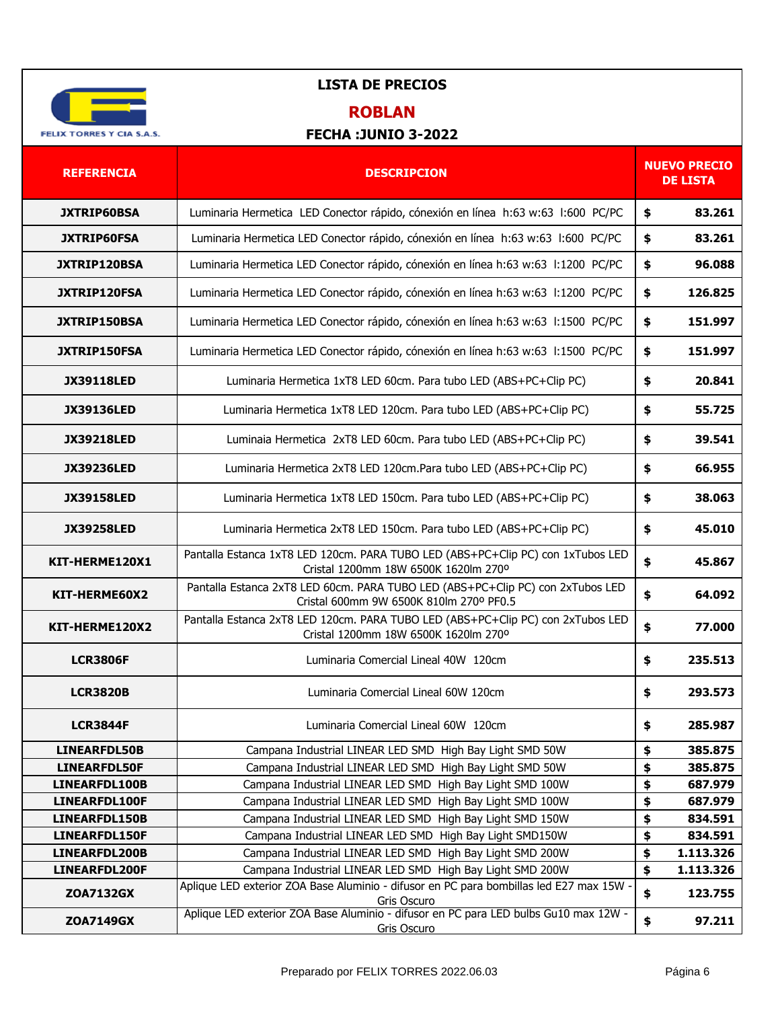

# **ROBLAN**

| <b>REFERENCIA</b>              | <b>DESCRIPCION</b>                                                                                                        |          | <b>NUEVO PRECIO</b><br><b>DE LISTA</b> |
|--------------------------------|---------------------------------------------------------------------------------------------------------------------------|----------|----------------------------------------|
| <b>JXTRIP60BSA</b>             | Luminaria Hermetica LED Conector rápido, cónexión en línea h:63 w:63 l:600 PC/PC                                          | \$       | 83.261                                 |
| <b>JXTRIP60FSA</b>             | Luminaria Hermetica LED Conector rápido, cónexión en línea h:63 w:63 1:600 PC/PC                                          | \$       | 83.261                                 |
| JXTRIP120BSA                   | Luminaria Hermetica LED Conector rápido, cónexión en línea h:63 w:63 l:1200 PC/PC                                         | \$       | 96.088                                 |
| <b>JXTRIP120FSA</b>            | Luminaria Hermetica LED Conector rápido, cónexión en línea h:63 w:63 l:1200 PC/PC                                         | \$       | 126.825                                |
| JXTRIP150BSA                   | Luminaria Hermetica LED Conector rápido, cónexión en línea h:63 w:63 l:1500 PC/PC                                         | \$       | 151.997                                |
| <b>JXTRIP150FSA</b>            | Luminaria Hermetica LED Conector rápido, cónexión en línea h:63 w:63 l:1500 PC/PC                                         | \$       | 151.997                                |
| <b>JX39118LED</b>              | Luminaria Hermetica 1xT8 LED 60cm. Para tubo LED (ABS+PC+Clip PC)                                                         | \$       | 20.841                                 |
| <b>JX39136LED</b>              | Luminaria Hermetica 1xT8 LED 120cm. Para tubo LED (ABS+PC+Clip PC)                                                        | \$       | 55.725                                 |
| <b>JX39218LED</b>              | Luminaia Hermetica 2xT8 LED 60cm. Para tubo LED (ABS+PC+Clip PC)                                                          | \$       | 39.541                                 |
| <b>JX39236LED</b>              | Luminaria Hermetica 2xT8 LED 120cm.Para tubo LED (ABS+PC+Clip PC)                                                         | \$       | 66.955                                 |
| <b>JX39158LED</b>              | Luminaria Hermetica 1xT8 LED 150cm. Para tubo LED (ABS+PC+Clip PC)                                                        | \$       | 38.063                                 |
| <b>JX39258LED</b>              | Luminaria Hermetica 2xT8 LED 150cm. Para tubo LED (ABS+PC+Clip PC)                                                        | \$       | 45.010                                 |
| KIT-HERME120X1                 | Pantalla Estanca 1xT8 LED 120cm. PARA TUBO LED (ABS+PC+Clip PC) con 1xTubos LED<br>Cristal 1200mm 18W 6500K 1620lm 270°   | \$       | 45.867                                 |
| KIT-HERME60X2                  | Pantalla Estanca 2xT8 LED 60cm. PARA TUBO LED (ABS+PC+Clip PC) con 2xTubos LED<br>Cristal 600mm 9W 6500K 810lm 270° PF0.5 | \$       | 64.092                                 |
| KIT-HERME120X2                 | Pantalla Estanca 2xT8 LED 120cm. PARA TUBO LED (ABS+PC+Clip PC) con 2xTubos LED<br>Cristal 1200mm 18W 6500K 1620lm 270°   | \$       | 77,000                                 |
| <b>LCR3806F</b>                | Luminaria Comercial Lineal 40W 120cm                                                                                      | \$       | 235.513                                |
| <b>LCR3820B</b>                | Luminaria Comercial Lineal 60W 120cm                                                                                      | \$       | 293.573                                |
| <b>LCR3844F</b>                | Luminaria Comercial Lineal 60W 120cm                                                                                      | \$       | 285.987                                |
| <b>LINEARFDL50B</b>            | Campana Industrial LINEAR LED SMD High Bay Light SMD 50W                                                                  | \$       | 385.875                                |
| LINEARFDL50F                   | Campana Industrial LINEAR LED SMD High Bay Light SMD 50W                                                                  | \$       | 385.875                                |
| LINEARFDL100B                  | Campana Industrial LINEAR LED SMD High Bay Light SMD 100W                                                                 | \$       | 687.979                                |
| LINEARFDL100F                  | Campana Industrial LINEAR LED SMD High Bay Light SMD 100W                                                                 | \$       | 687.979                                |
| LINEARFDL150B                  | Campana Industrial LINEAR LED SMD High Bay Light SMD 150W                                                                 | \$       | 834.591                                |
| LINEARFDL150F<br>LINEARFDL200B | Campana Industrial LINEAR LED SMD High Bay Light SMD150W<br>Campana Industrial LINEAR LED SMD High Bay Light SMD 200W     | \$<br>\$ | 834.591<br>1.113.326                   |
| LINEARFDL200F                  | Campana Industrial LINEAR LED SMD High Bay Light SMD 200W                                                                 | \$       | 1.113.326                              |
| <b>ZOA7132GX</b>               | Aplique LED exterior ZOA Base Aluminio - difusor en PC para bombillas led E27 max 15W -<br>Gris Oscuro                    | \$       | 123.755                                |
| <b>ZOA7149GX</b>               | Aplique LED exterior ZOA Base Aluminio - difusor en PC para LED bulbs Gu10 max 12W -<br>Gris Oscuro                       | \$       | 97.211                                 |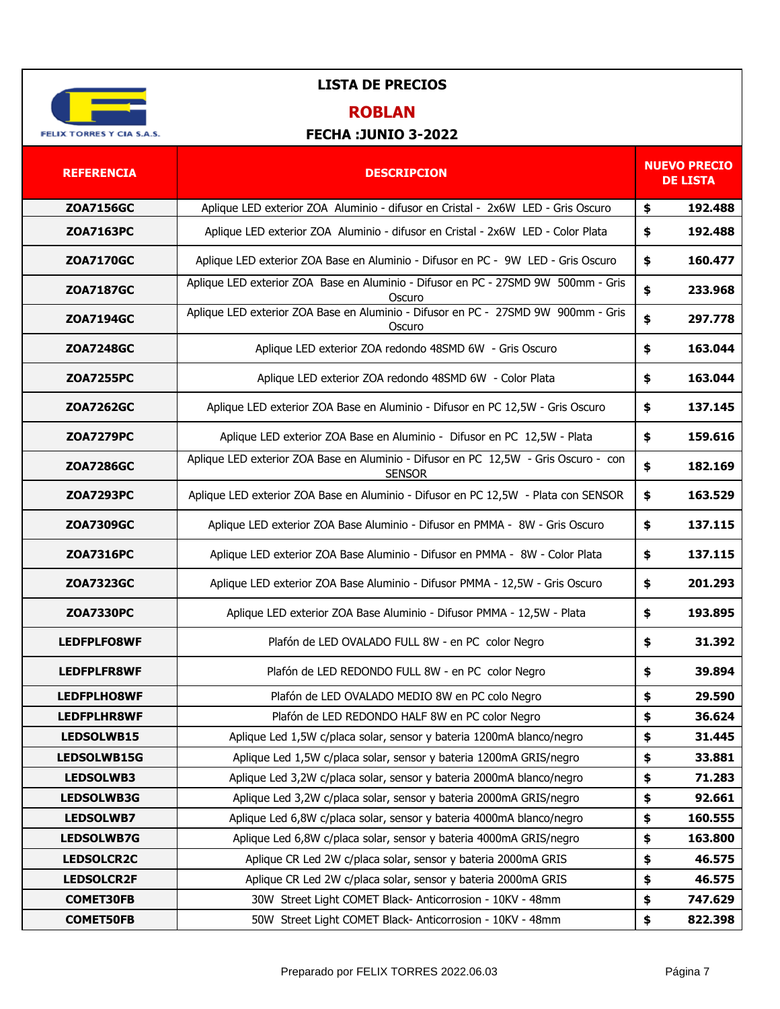

## **ROBLAN**

| <b>REFERENCIA</b>  | <b>DESCRIPCION</b>                                                                                   | <b>NUEVO PRECIO</b><br><b>DE LISTA</b> |         |
|--------------------|------------------------------------------------------------------------------------------------------|----------------------------------------|---------|
| <b>ZOA7156GC</b>   | Aplique LED exterior ZOA Aluminio - difusor en Cristal - 2x6W LED - Gris Oscuro                      | \$                                     | 192.488 |
| <b>ZOA7163PC</b>   | Aplique LED exterior ZOA Aluminio - difusor en Cristal - 2x6W LED - Color Plata                      | \$                                     | 192.488 |
| <b>ZOA7170GC</b>   | Aplique LED exterior ZOA Base en Aluminio - Difusor en PC - 9W LED - Gris Oscuro                     | \$                                     | 160,477 |
| <b>ZOA7187GC</b>   | Aplique LED exterior ZOA Base en Aluminio - Difusor en PC - 27SMD 9W 500mm - Gris<br>Oscuro          | \$                                     | 233.968 |
| <b>ZOA7194GC</b>   | Aplique LED exterior ZOA Base en Aluminio - Difusor en PC - 27SMD 9W 900mm - Gris<br>Oscuro          | \$                                     | 297.778 |
| <b>ZOA7248GC</b>   | Aplique LED exterior ZOA redondo 48SMD 6W - Gris Oscuro                                              | \$                                     | 163.044 |
| <b>ZOA7255PC</b>   | Aplique LED exterior ZOA redondo 48SMD 6W - Color Plata                                              | \$                                     | 163.044 |
| <b>ZOA7262GC</b>   | Aplique LED exterior ZOA Base en Aluminio - Difusor en PC 12,5W - Gris Oscuro                        | \$                                     | 137.145 |
| <b>ZOA7279PC</b>   | Aplique LED exterior ZOA Base en Aluminio - Difusor en PC 12,5W - Plata                              | \$                                     | 159.616 |
| <b>ZOA7286GC</b>   | Aplique LED exterior ZOA Base en Aluminio - Difusor en PC 12,5W - Gris Oscuro - con<br><b>SENSOR</b> | \$                                     | 182.169 |
| <b>ZOA7293PC</b>   | Aplique LED exterior ZOA Base en Aluminio - Difusor en PC 12,5W - Plata con SENSOR                   | \$                                     | 163.529 |
| <b>ZOA7309GC</b>   | Aplique LED exterior ZOA Base Aluminio - Difusor en PMMA - 8W - Gris Oscuro                          | \$                                     | 137.115 |
| <b>ZOA7316PC</b>   | Aplique LED exterior ZOA Base Aluminio - Difusor en PMMA - 8W - Color Plata                          | \$                                     | 137.115 |
| <b>ZOA7323GC</b>   | Aplique LED exterior ZOA Base Aluminio - Difusor PMMA - 12,5W - Gris Oscuro                          | \$                                     | 201.293 |
| <b>ZOA7330PC</b>   | Aplique LED exterior ZOA Base Aluminio - Difusor PMMA - 12,5W - Plata                                | \$                                     | 193.895 |
| <b>LEDFPLFO8WF</b> | Plafón de LED OVALADO FULL 8W - en PC color Negro                                                    | \$                                     | 31.392  |
| <b>LEDFPLFR8WF</b> | Plafón de LED REDONDO FULL 8W - en PC color Negro                                                    | \$                                     | 39.894  |
| <b>LEDFPLHO8WF</b> | Plafón de LED OVALADO MEDIO 8W en PC colo Negro                                                      | \$                                     | 29.590  |
| <b>LEDFPLHR8WF</b> | Plafón de LED REDONDO HALF 8W en PC color Negro                                                      | \$                                     | 36.624  |
| LEDSOLWB15         | Aplique Led 1,5W c/placa solar, sensor y bateria 1200mA blanco/negro                                 | \$                                     | 31.445  |
| LEDSOLWB15G        | Aplique Led 1,5W c/placa solar, sensor y bateria 1200mA GRIS/negro                                   | \$                                     | 33.881  |
| LEDSOLWB3          | Aplique Led 3,2W c/placa solar, sensor y bateria 2000mA blanco/negro                                 | \$                                     | 71.283  |
| <b>LEDSOLWB3G</b>  | Aplique Led 3,2W c/placa solar, sensor y bateria 2000mA GRIS/negro                                   | \$                                     | 92.661  |
| <b>LEDSOLWB7</b>   | Aplique Led 6,8W c/placa solar, sensor y bateria 4000mA blanco/negro                                 | \$                                     | 160.555 |
| <b>LEDSOLWB7G</b>  | Aplique Led 6,8W c/placa solar, sensor y bateria 4000mA GRIS/negro                                   | \$                                     | 163.800 |
| <b>LEDSOLCR2C</b>  | Aplique CR Led 2W c/placa solar, sensor y bateria 2000mA GRIS                                        | \$                                     | 46.575  |
| <b>LEDSOLCR2F</b>  | Aplique CR Led 2W c/placa solar, sensor y bateria 2000mA GRIS                                        | \$                                     | 46.575  |
| <b>COMET30FB</b>   | 30W Street Light COMET Black-Anticorrosion - 10KV - 48mm                                             | \$                                     | 747.629 |
| <b>COMET50FB</b>   | 50W Street Light COMET Black- Anticorrosion - 10KV - 48mm                                            | \$                                     | 822.398 |